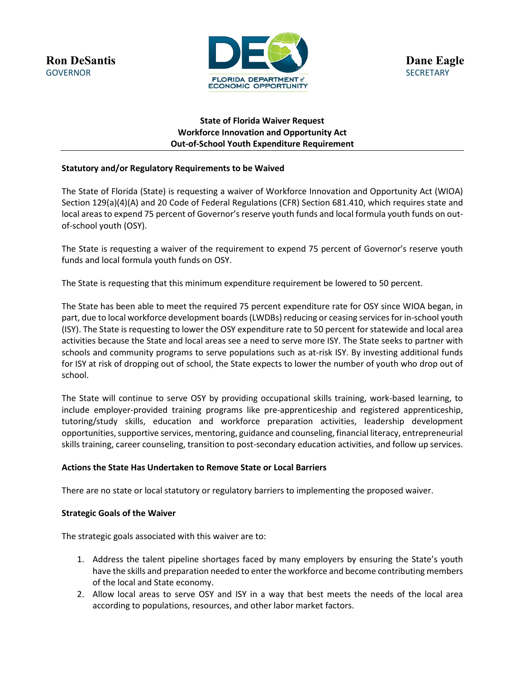

# **State of Florida Waiver Request Workforce Innovation and Opportunity Act Out-of-School Youth Expenditure Requirement**

# **Statutory and/or Regulatory Requirements to be Waived**

The State of Florida (State) is requesting a waiver of Workforce Innovation and Opportunity Act (WIOA) Section 129(a)(4)(A) and 20 Code of Federal Regulations (CFR) Section 681.410, which requires state and local areas to expend 75 percent of Governor's reserve youth funds and local formula youth funds on outof-school youth (OSY).

The State is requesting a waiver of the requirement to expend 75 percent of Governor's reserve youth funds and local formula youth funds on OSY.

The State is requesting that this minimum expenditure requirement be lowered to 50 percent.

The State has been able to meet the required 75 percent expenditure rate for OSY since WIOA began, in part, due to local workforce development boards (LWDBs) reducing or ceasing services for in-school youth (ISY). The State is requesting to lower the OSY expenditure rate to 50 percent for statewide and local area activities because the State and local areas see a need to serve more ISY. The State seeks to partner with schools and community programs to serve populations such as at-risk ISY. By investing additional funds for ISY at risk of dropping out of school, the State expects to lower the number of youth who drop out of school.

The State will continue to serve OSY by providing occupational skills training, work-based learning, to include employer-provided training programs like pre-apprenticeship and registered apprenticeship, tutoring/study skills, education and workforce preparation activities, leadership development opportunities, supportive services, mentoring, guidance and counseling, financial literacy, entrepreneurial skills training, career counseling, transition to post-secondary education activities, and follow up services.

### **Actions the State Has Undertaken to Remove State or Local Barriers**

There are no state or local statutory or regulatory barriers to implementing the proposed waiver.

### **Strategic Goals of the Waiver**

The strategic goals associated with this waiver are to:

- 1. Address the talent pipeline shortages faced by many employers by ensuring the State's youth have the skills and preparation needed to enter the workforce and become contributing members of the local and State economy.
- 2. Allow local areas to serve OSY and ISY in a way that best meets the needs of the local area according to populations, resources, and other labor market factors.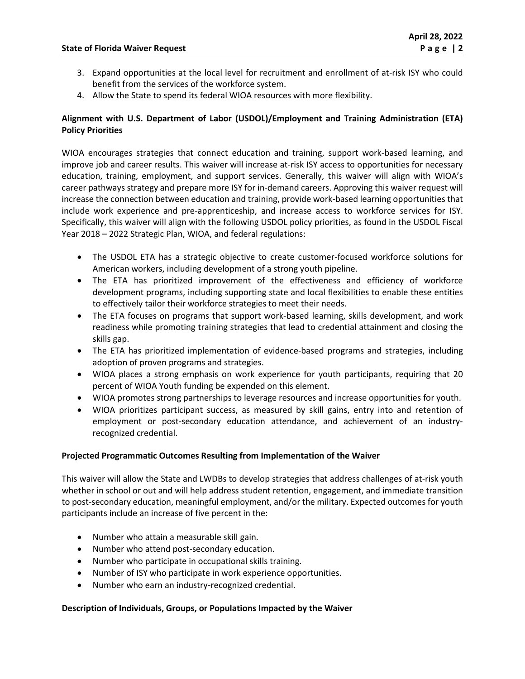- 3. Expand opportunities at the local level for recruitment and enrollment of at-risk ISY who could benefit from the services of the workforce system.
- 4. Allow the State to spend its federal WIOA resources with more flexibility.

# **Alignment with U.S. Department of Labor (USDOL)/Employment and Training Administration (ETA) Policy Priorities**

WIOA encourages strategies that connect education and training, support work-based learning, and improve job and career results. This waiver will increase at-risk ISY access to opportunities for necessary education, training, employment, and support services. Generally, this waiver will align with WIOA's career pathways strategy and prepare more ISY for in-demand careers. Approving this waiver request will increase the connection between education and training, provide work-based learning opportunities that include work experience and pre-apprenticeship, and increase access to workforce services for ISY. Specifically, this waiver will align with the following USDOL policy priorities, as found in the USDOL Fiscal Year 2018 – 2022 Strategic Plan, WIOA, and federal regulations:

- The USDOL ETA has a strategic objective to create customer-focused workforce solutions for American workers, including development of a strong youth pipeline.
- The ETA has prioritized improvement of the effectiveness and efficiency of workforce development programs, including supporting state and local flexibilities to enable these entities to effectively tailor their workforce strategies to meet their needs.
- The ETA focuses on programs that support work-based learning, skills development, and work readiness while promoting training strategies that lead to credential attainment and closing the skills gap.
- The ETA has prioritized implementation of evidence-based programs and strategies, including adoption of proven programs and strategies.
- WIOA places a strong emphasis on work experience for youth participants, requiring that 20 percent of WIOA Youth funding be expended on this element.
- WIOA promotes strong partnerships to leverage resources and increase opportunities for youth.
- WIOA prioritizes participant success, as measured by skill gains, entry into and retention of employment or post-secondary education attendance, and achievement of an industryrecognized credential.

# **Projected Programmatic Outcomes Resulting from Implementation of the Waiver**

This waiver will allow the State and LWDBs to develop strategies that address challenges of at-risk youth whether in school or out and will help address student retention, engagement, and immediate transition to post-secondary education, meaningful employment, and/or the military. Expected outcomes for youth participants include an increase of five percent in the:

- Number who attain a measurable skill gain.
- Number who attend post-secondary education.
- Number who participate in occupational skills training.
- Number of ISY who participate in work experience opportunities.
- Number who earn an industry-recognized credential.

### **Description of Individuals, Groups, or Populations Impacted by the Waiver**